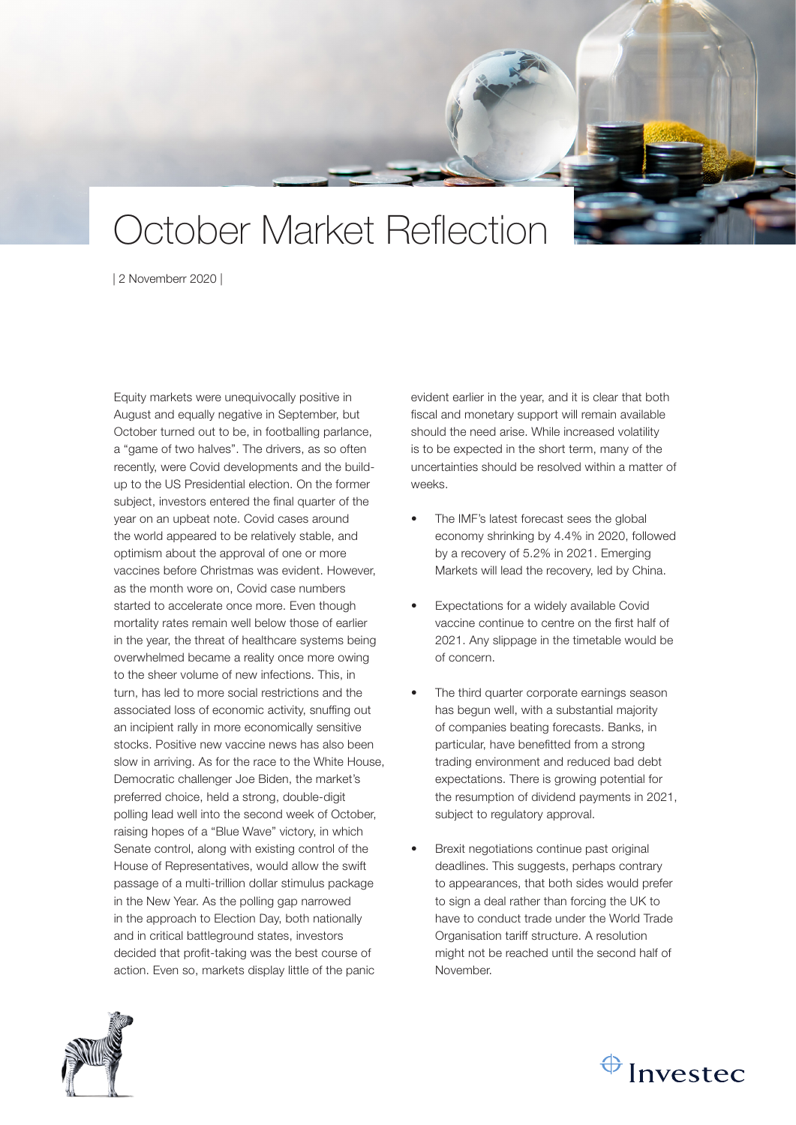

| 2 Novemberr 2020 |

Equity markets were unequivocally positive in August and equally negative in September, but October turned out to be, in footballing parlance, a "game of two halves". The drivers, as so often recently, were Covid developments and the buildup to the US Presidential election. On the former subject, investors entered the final quarter of the year on an upbeat note. Covid cases around the world appeared to be relatively stable, and optimism about the approval of one or more vaccines before Christmas was evident. However, as the month wore on, Covid case numbers started to accelerate once more. Even though mortality rates remain well below those of earlier in the year, the threat of healthcare systems being overwhelmed became a reality once more owing to the sheer volume of new infections. This, in turn, has led to more social restrictions and the associated loss of economic activity, snuffing out an incipient rally in more economically sensitive stocks. Positive new vaccine news has also been slow in arriving. As for the race to the White House, Democratic challenger Joe Biden, the market's preferred choice, held a strong, double-digit polling lead well into the second week of October, raising hopes of a "Blue Wave" victory, in which Senate control, along with existing control of the House of Representatives, would allow the swift passage of a multi-trillion dollar stimulus package in the New Year. As the polling gap narrowed in the approach to Election Day, both nationally and in critical battleground states, investors decided that profit-taking was the best course of action. Even so, markets display little of the panic

evident earlier in the year, and it is clear that both fiscal and monetary support will remain available should the need arise. While increased volatility is to be expected in the short term, many of the uncertainties should be resolved within a matter of weeks.

- The IMF's latest forecast sees the global economy shrinking by 4.4% in 2020, followed by a recovery of 5.2% in 2021. Emerging Markets will lead the recovery, led by China.
- Expectations for a widely available Covid vaccine continue to centre on the first half of 2021. Any slippage in the timetable would be of concern.
- The third quarter corporate earnings season has begun well, with a substantial majority of companies beating forecasts. Banks, in particular, have benefitted from a strong trading environment and reduced bad debt expectations. There is growing potential for the resumption of dividend payments in 2021, subject to regulatory approval.
- Brexit negotiations continue past original deadlines. This suggests, perhaps contrary to appearances, that both sides would prefer to sign a deal rather than forcing the UK to have to conduct trade under the World Trade Organisation tariff structure. A resolution might not be reached until the second half of November.